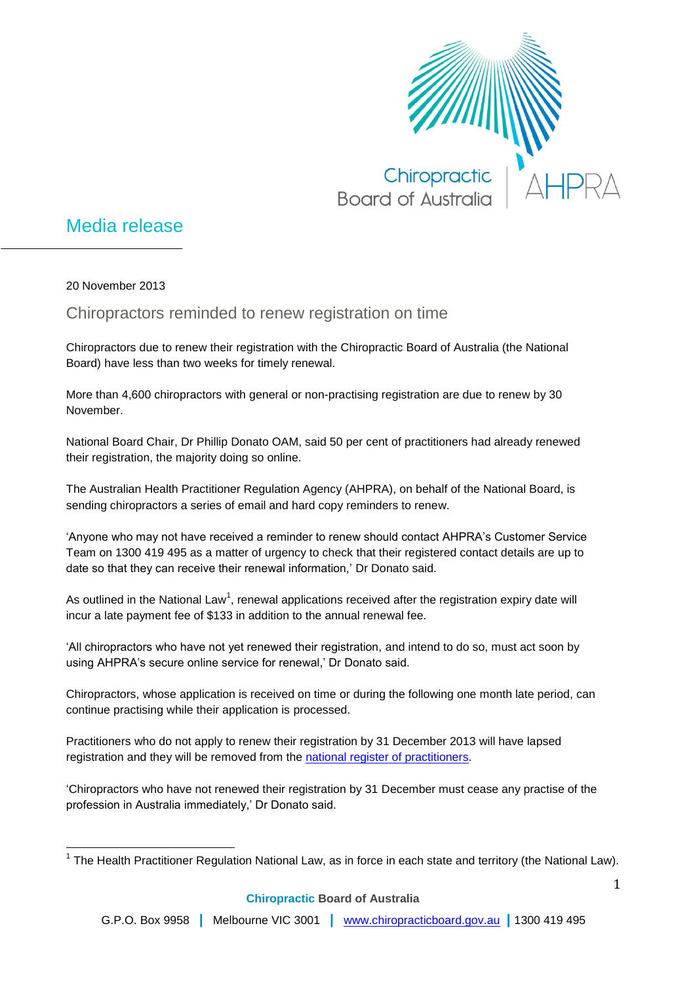

## Media release

20 November 2013

 $\overline{\phantom{a}}$ 

Chiropractors reminded to renew registration on time

Chiropractors due to renew their registration with the Chiropractic Board of Australia (the National Board) have less than two weeks for timely renewal.

More than 4,600 chiropractors with general or non-practising registration are due to renew by 30 November.

National Board Chair, Dr Phillip Donato OAM, said 50 per cent of practitioners had already renewed their registration, the majority doing so online.

The Australian Health Practitioner Regulation Agency (AHPRA), on behalf of the National Board, is sending chiropractors a series of email and hard copy reminders to renew.

'Anyone who may not have received a reminder to renew should contact AHPRA's Customer Service Team on 1300 419 495 as a matter of urgency to check that their registered contact details are up to date so that they can receive their renewal information,' Dr Donato said.

As outlined in the National Law<sup>1</sup>, renewal applications received after the registration expiry date will incur a late payment fee of \$133 in addition to the annual renewal fee.

'All chiropractors who have not yet renewed their registration, and intend to do so, must act soon by using AHPRA's secure online service for renewal,' Dr Donato said.

Chiropractors, whose application is received on time or during the following one month late period, can continue practising while their application is processed.

Practitioners who do not apply to renew their registration by 31 December 2013 will have lapsed registration and they will be removed from the [national register of practitioners.](http://www.ahpra.gov.au/Registration/Registers-of-Practitioners.aspx)

'Chiropractors who have not renewed their registration by 31 December must cease any practise of the profession in Australia immediately,' Dr Donato said.

<sup>&</sup>lt;sup>1</sup> The Health Practitioner Regulation National Law, as in force in each state and territory (the National Law).